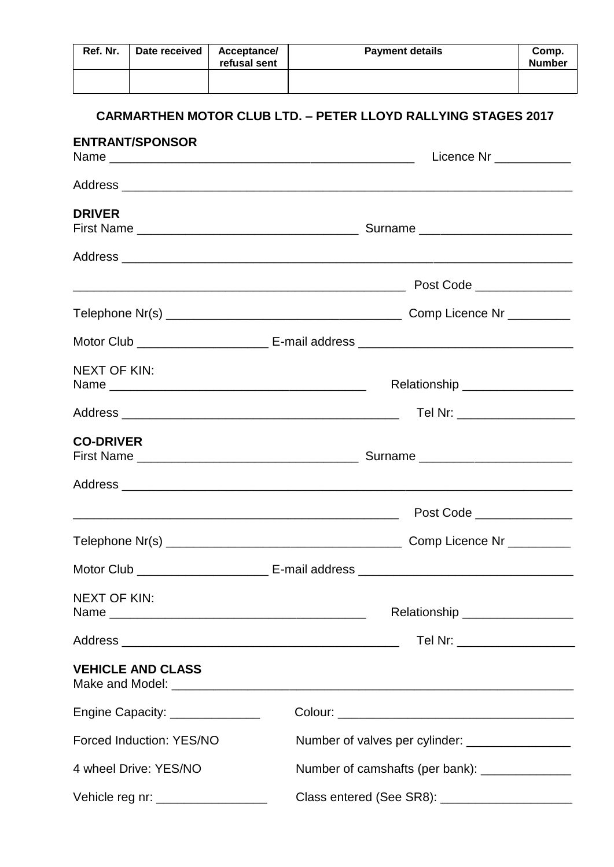| Ref. Nr.            | Date received                      | Acceptance/<br>refusal sent | <b>Payment details</b>                                               | Comp.<br><b>Number</b>         |  |  |
|---------------------|------------------------------------|-----------------------------|----------------------------------------------------------------------|--------------------------------|--|--|
|                     | <b>ENTRANT/SPONSOR</b>             |                             | <b>CARMARTHEN MOTOR CLUB LTD. - PETER LLOYD RALLYING STAGES 2017</b> |                                |  |  |
|                     |                                    |                             |                                                                      | Licence Nr _____________       |  |  |
|                     |                                    |                             |                                                                      |                                |  |  |
| <b>DRIVER</b>       |                                    |                             |                                                                      |                                |  |  |
|                     |                                    |                             |                                                                      |                                |  |  |
|                     |                                    |                             |                                                                      | Post Code _______________      |  |  |
|                     |                                    |                             |                                                                      |                                |  |  |
|                     |                                    |                             |                                                                      |                                |  |  |
| <b>NEXT OF KIN:</b> |                                    |                             | Relationship _________________                                       |                                |  |  |
|                     |                                    |                             |                                                                      | Tel Nr: ______________________ |  |  |
| <b>CO-DRIVER</b>    |                                    |                             |                                                                      |                                |  |  |
|                     |                                    |                             |                                                                      |                                |  |  |
|                     |                                    |                             |                                                                      |                                |  |  |
|                     |                                    |                             |                                                                      |                                |  |  |
|                     |                                    |                             |                                                                      |                                |  |  |
| <b>NEXT OF KIN:</b> |                                    |                             | Relationship _________________                                       |                                |  |  |
|                     |                                    |                             |                                                                      | Tel Nr: ____________________   |  |  |
|                     | <b>VEHICLE AND CLASS</b>           |                             |                                                                      |                                |  |  |
|                     | Engine Capacity: _______________   |                             |                                                                      |                                |  |  |
|                     | Forced Induction: YES/NO           |                             | Number of valves per cylinder: _________________                     |                                |  |  |
|                     | 4 wheel Drive: YES/NO              |                             | Number of camshafts (per bank): ______________                       |                                |  |  |
|                     | Vehicle reg nr: __________________ |                             | Class entered (See SR8): ________________________                    |                                |  |  |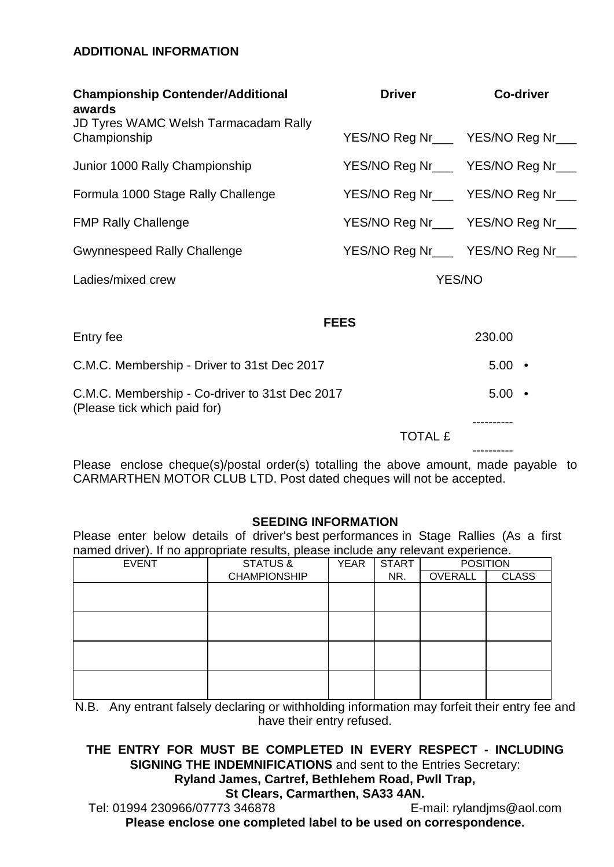## **ADDITIONAL INFORMATION**

| <b>Championship Contender/Additional</b><br>awards                             | <b>Driver</b>                      | <b>Co-driver</b> |  |
|--------------------------------------------------------------------------------|------------------------------------|------------------|--|
| <b>JD Tyres WAMC Welsh Tarmacadam Rally</b><br>Championship                    | YES/NO Reg Nr___ YES/NO Reg Nr___  |                  |  |
| Junior 1000 Rally Championship                                                 | YES/NO Reg Nr___ YES/NO Reg Nr___  |                  |  |
| Formula 1000 Stage Rally Challenge                                             | YES/NO Reg Nr___ YES/NO Reg Nr___  |                  |  |
| <b>FMP Rally Challenge</b>                                                     | YES/NO Reg Nr___ YES/NO Reg Nr___  |                  |  |
| <b>Gwynnespeed Rally Challenge</b>                                             | YES/NO Reg Nr____ YES/NO Reg Nr___ |                  |  |
| Ladies/mixed crew                                                              | <b>YES/NO</b>                      |                  |  |
|                                                                                |                                    |                  |  |
| Entry fee                                                                      | <b>FEES</b>                        | 230.00           |  |
| C.M.C. Membership - Driver to 31st Dec 2017                                    |                                    | $5.00$ •         |  |
| C.M.C. Membership - Co-driver to 31st Dec 2017<br>(Please tick which paid for) |                                    | $5.00$ •         |  |
|                                                                                | <b>TOTAL £</b>                     |                  |  |
|                                                                                |                                    |                  |  |

Please enclose cheque(s)/postal order(s) totalling the above amount, made payable to CARMARTHEN MOTOR CLUB LTD. Post dated cheques will not be accepted.

### **SEEDING INFORMATION**

Please enter below details of driver's best performances in Stage Rallies (As a first named driver). If no appropriate results, please include any relevant experience.

| . .          |  | $\overline{\phantom{a}}$ |             |              |                 |              |
|--------------|--|--------------------------|-------------|--------------|-----------------|--------------|
| <b>EVENT</b> |  | STATUS &                 | <b>YEAR</b> | <b>START</b> | <b>POSITION</b> |              |
|              |  | <b>CHAMPIONSHIP</b>      |             | NR.          | OVERALL         | <b>CLASS</b> |
|              |  |                          |             |              |                 |              |
|              |  |                          |             |              |                 |              |
|              |  |                          |             |              |                 |              |
|              |  |                          |             |              |                 |              |
|              |  |                          |             |              |                 |              |
|              |  |                          |             |              |                 |              |
|              |  |                          |             |              |                 |              |
|              |  |                          |             |              |                 |              |
|              |  |                          |             |              |                 |              |
|              |  |                          |             |              |                 |              |

N.B. Any entrant falsely declaring or withholding information may forfeit their entry fee and have their entry refused.

# **THE ENTRY FOR MUST BE COMPLETED IN EVERY RESPECT - INCLUDING SIGNING THE INDEMNIFICATIONS** and sent to the Entries Secretary:

**Ryland James, Cartref, Bethlehem Road, Pwll Trap,** 

**St Clears, Carmarthen, SA33 4AN.** 

Tel: 01994 230966/07773 346878 E-mail: rylandjms@aol.com **Please enclose one completed label to be used on correspondence.**